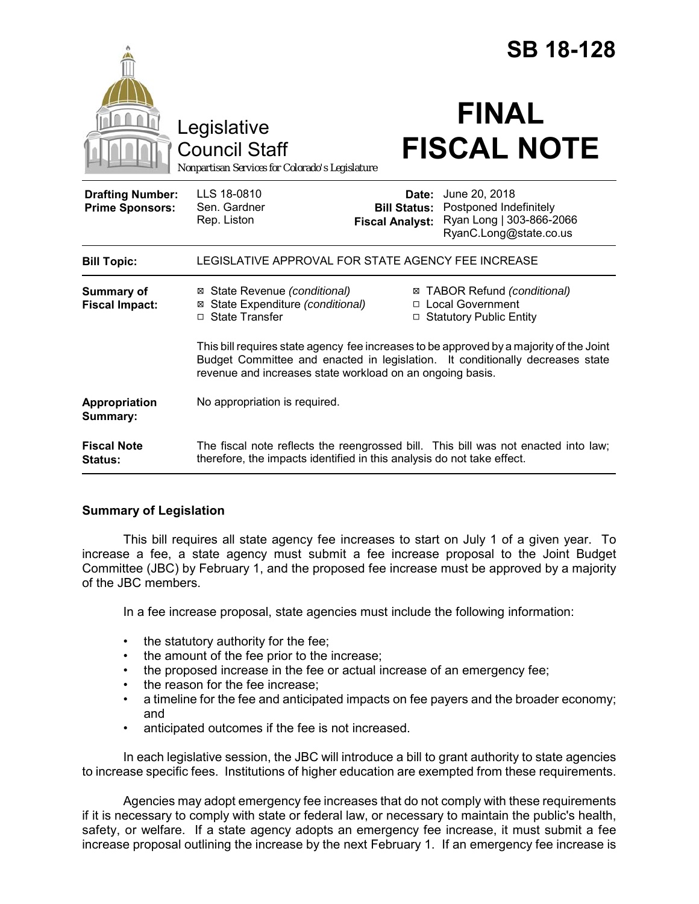|                                                   |                                                                                                                                                                                                                                       |                                               | <b>SB 18-128</b>                                                                                           |
|---------------------------------------------------|---------------------------------------------------------------------------------------------------------------------------------------------------------------------------------------------------------------------------------------|-----------------------------------------------|------------------------------------------------------------------------------------------------------------|
|                                                   | Legislative<br><b>Council Staff</b><br>Nonpartisan Services for Colorado's Legislature                                                                                                                                                |                                               | <b>FINAL</b><br><b>FISCAL NOTE</b>                                                                         |
| <b>Drafting Number:</b><br><b>Prime Sponsors:</b> | LLS 18-0810<br>Sen. Gardner<br>Rep. Liston                                                                                                                                                                                            | <b>Bill Status:</b><br><b>Fiscal Analyst:</b> | <b>Date:</b> June 20, 2018<br>Postponed Indefinitely<br>Ryan Long   303-866-2066<br>RyanC.Long@state.co.us |
| <b>Bill Topic:</b>                                | LEGISLATIVE APPROVAL FOR STATE AGENCY FEE INCREASE                                                                                                                                                                                    |                                               |                                                                                                            |
| Summary of<br><b>Fiscal Impact:</b>               | ⊠ State Revenue (conditional)<br>⊠ State Expenditure (conditional)<br>□ State Transfer                                                                                                                                                | $\Box$                                        | ⊠ TABOR Refund (conditional)<br>□ Local Government<br><b>Statutory Public Entity</b>                       |
|                                                   | This bill requires state agency fee increases to be approved by a majority of the Joint<br>Budget Committee and enacted in legislation. It conditionally decreases state<br>revenue and increases state workload on an ongoing basis. |                                               |                                                                                                            |
| Appropriation<br>Summary:                         | No appropriation is required.                                                                                                                                                                                                         |                                               |                                                                                                            |
| <b>Fiscal Note</b><br><b>Status:</b>              | therefore, the impacts identified in this analysis do not take effect.                                                                                                                                                                |                                               | The fiscal note reflects the reengrossed bill. This bill was not enacted into law;                         |

# **Summary of Legislation**

This bill requires all state agency fee increases to start on July 1 of a given year. To increase a fee, a state agency must submit a fee increase proposal to the Joint Budget Committee (JBC) by February 1, and the proposed fee increase must be approved by a majority of the JBC members.

In a fee increase proposal, state agencies must include the following information:

- the statutory authority for the fee;
- the amount of the fee prior to the increase;
- the proposed increase in the fee or actual increase of an emergency fee;
- the reason for the fee increase;
- a timeline for the fee and anticipated impacts on fee payers and the broader economy; and
- anticipated outcomes if the fee is not increased.

In each legislative session, the JBC will introduce a bill to grant authority to state agencies to increase specific fees. Institutions of higher education are exempted from these requirements.

Agencies may adopt emergency fee increases that do not comply with these requirements if it is necessary to comply with state or federal law, or necessary to maintain the public's health, safety, or welfare. If a state agency adopts an emergency fee increase, it must submit a fee increase proposal outlining the increase by the next February 1. If an emergency fee increase is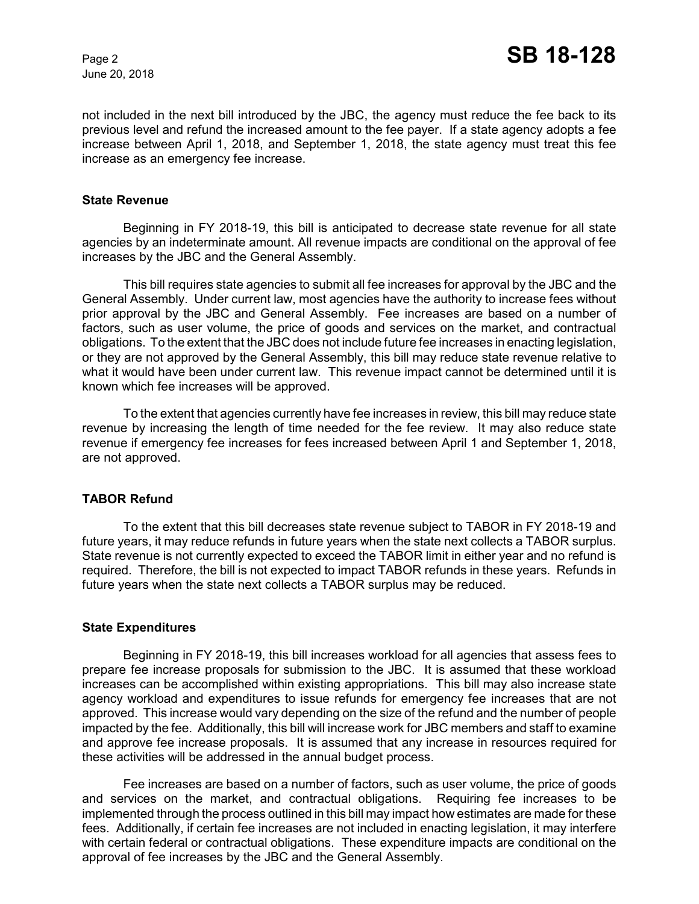June 20, 2018

not included in the next bill introduced by the JBC, the agency must reduce the fee back to its previous level and refund the increased amount to the fee payer. If a state agency adopts a fee increase between April 1, 2018, and September 1, 2018, the state agency must treat this fee increase as an emergency fee increase.

### **State Revenue**

Beginning in FY 2018-19, this bill is anticipated to decrease state revenue for all state agencies by an indeterminate amount. All revenue impacts are conditional on the approval of fee increases by the JBC and the General Assembly.

This bill requires state agencies to submit all fee increases for approval by the JBC and the General Assembly. Under current law, most agencies have the authority to increase fees without prior approval by the JBC and General Assembly. Fee increases are based on a number of factors, such as user volume, the price of goods and services on the market, and contractual obligations. To the extent that the JBC does not include future fee increases in enacting legislation, or they are not approved by the General Assembly, this bill may reduce state revenue relative to what it would have been under current law. This revenue impact cannot be determined until it is known which fee increases will be approved.

To the extent that agencies currently have fee increases in review, this bill may reduce state revenue by increasing the length of time needed for the fee review. It may also reduce state revenue if emergency fee increases for fees increased between April 1 and September 1, 2018, are not approved.

# **TABOR Refund**

To the extent that this bill decreases state revenue subject to TABOR in FY 2018-19 and future years, it may reduce refunds in future years when the state next collects a TABOR surplus. State revenue is not currently expected to exceed the TABOR limit in either year and no refund is required. Therefore, the bill is not expected to impact TABOR refunds in these years. Refunds in future years when the state next collects a TABOR surplus may be reduced.

#### **State Expenditures**

Beginning in FY 2018-19, this bill increases workload for all agencies that assess fees to prepare fee increase proposals for submission to the JBC. It is assumed that these workload increases can be accomplished within existing appropriations. This bill may also increase state agency workload and expenditures to issue refunds for emergency fee increases that are not approved. This increase would vary depending on the size of the refund and the number of people impacted by the fee. Additionally, this bill will increase work for JBC members and staff to examine and approve fee increase proposals. It is assumed that any increase in resources required for these activities will be addressed in the annual budget process.

Fee increases are based on a number of factors, such as user volume, the price of goods and services on the market, and contractual obligations. Requiring fee increases to be implemented through the process outlined in this bill may impact how estimates are made for these fees. Additionally, if certain fee increases are not included in enacting legislation, it may interfere with certain federal or contractual obligations. These expenditure impacts are conditional on the approval of fee increases by the JBC and the General Assembly.